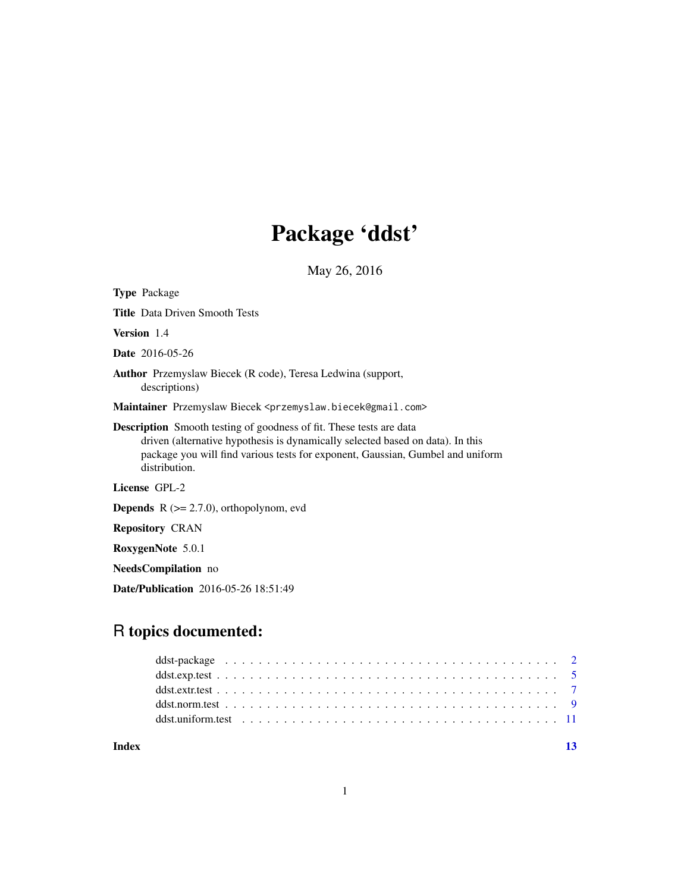## Package 'ddst'

May 26, 2016

| <b>Type Package</b>                                                                                                                                                                                                                                             |
|-----------------------------------------------------------------------------------------------------------------------------------------------------------------------------------------------------------------------------------------------------------------|
| <b>Title</b> Data Driven Smooth Tests                                                                                                                                                                                                                           |
| <b>Version</b> 1.4                                                                                                                                                                                                                                              |
| <b>Date</b> 2016-05-26                                                                                                                                                                                                                                          |
| <b>Author</b> Przemyslaw Biecek (R code), Teresa Ledwina (support,<br>descriptions)                                                                                                                                                                             |
| Maintainer Przemyslaw Biecek <przemyslaw.biecek@gmail.com></przemyslaw.biecek@gmail.com>                                                                                                                                                                        |
| <b>Description</b> Smooth testing of goodness of fit. These tests are data<br>driven (alternative hypothesis is dynamically selected based on data). In this<br>package you will find various tests for exponent, Gaussian, Gumbel and uniform<br>distribution. |
| License GPL-2                                                                                                                                                                                                                                                   |
| <b>Depends</b> $R (= 2.7.0)$ , orthopolynom, evd                                                                                                                                                                                                                |
| <b>Repository CRAN</b>                                                                                                                                                                                                                                          |
|                                                                                                                                                                                                                                                                 |

RoxygenNote 5.0.1

NeedsCompilation no

Date/Publication 2016-05-26 18:51:49

## R topics documented:

**Index** [13](#page-12-0)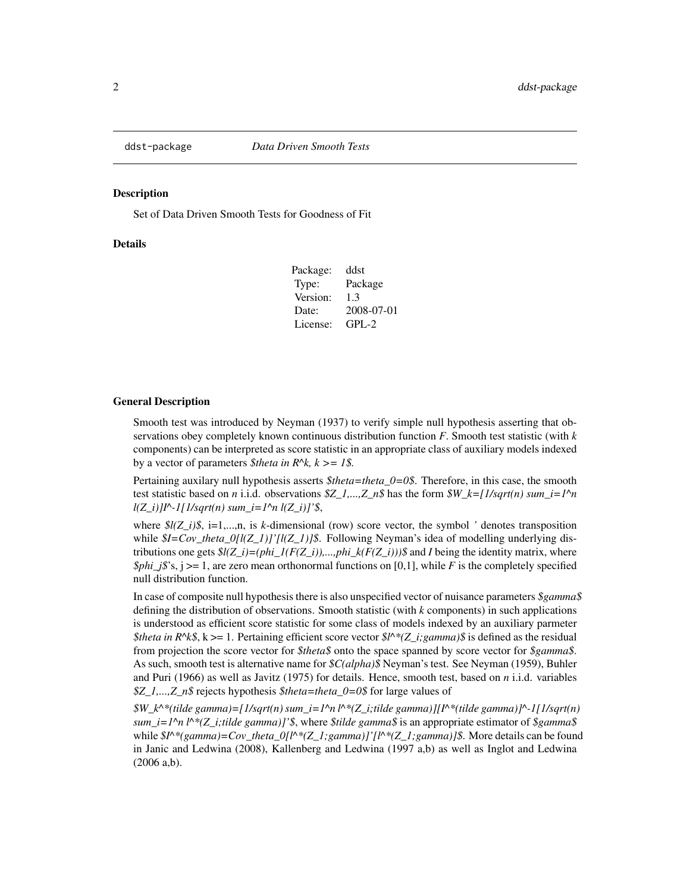<span id="page-1-0"></span>

Set of Data Driven Smooth Tests for Goodness of Fit

#### Details

| Package: | ddst       |
|----------|------------|
| Type:    | Package    |
| Version: | 1.3        |
| Date:    | 2008-07-01 |
| License: | $GPI - 2$  |

#### General Description

Smooth test was introduced by Neyman (1937) to verify simple null hypothesis asserting that observations obey completely known continuous distribution function *F*. Smooth test statistic (with *k* components) can be interpreted as score statistic in an appropriate class of auxiliary models indexed by a vector of parameters *\$theta in R^k, k >= 1\$.*

Pertaining auxilary null hypothesis asserts *\$theta=theta\_0=0\$*. Therefore, in this case, the smooth test statistic based on *n* i.i.d. observations  $\frac{gZ}{a}$ ,..., $\frac{z}{a}$  has the form  $\frac{gW}{c}$  = [1/sqrt(n) sum\_i=1^n *l(Z\_i)]I^-1[1/sqrt(n) sum\_i=1^n l(Z\_i)]'\$*,

where  $\mathcal{L}(Z_i|\mathcal{S}, i=1,...,n)$ , is *k*-dimensional (row) score vector, the symbol *'* denotes transposition while *\$I=Cov\_theta\_0[l(Z\_1)]'[l(Z\_1)]\$*. Following Neyman's idea of modelling underlying distributions one gets  $\frac{\mathcal{S}}{\mathcal{S}}(Z_i) = (phi_1(F(Z_i)),...,phi_k(K(Z_i)))\$ \$ and *I* being the identity matrix, where *\$phi\_j\$*'s,  $j \ge 1$ , are zero mean orthonormal functions on [0,1], while *F* is the completely specified null distribution function.

In case of composite null hypothesis there is also unspecified vector of nuisance parameters *\$gamma\$* defining the distribution of observations. Smooth statistic (with *k* components) in such applications is understood as efficient score statistic for some class of models indexed by an auxiliary parmeter *\$theta in R^k\$*, k >= 1. Pertaining efficient score vector  $$l^*$  (Z\_i;gamma)\$ is defined as the residual from projection the score vector for *\$theta\$* onto the space spanned by score vector for *\$gamma\$*. As such, smooth test is alternative name for *\$C(alpha)\$* Neyman's test. See Neyman (1959), Buhler and Puri (1966) as well as Javitz (1975) for details. Hence, smooth test, based on *n* i.i.d. variables *\$Z\_1,...,Z\_n\$* rejects hypothesis *\$theta=theta\_0=0\$* for large values of

*\$W\_k^\*(tilde gamma)=[1/sqrt(n) sum\_i=1^n l^\*(Z\_i;tilde gamma)][I^\*(tilde gamma)]^-1[1/sqrt(n) sum\_i=1^n l^\*(Z\_i;tilde gamma)]'\$*, where *\$tilde gamma\$* is an appropriate estimator of *\$gamma\$* while  $\frac{\mathcal{S}}{\mu}$ <sup>\*</sup>(gamma)=Cov\_theta\_0[l^\*(Z\_1;gamma)]'[l^\*(Z\_1;gamma)]\$. More details can be found in Janic and Ledwina (2008), Kallenberg and Ledwina (1997 a,b) as well as Inglot and Ledwina (2006 a,b).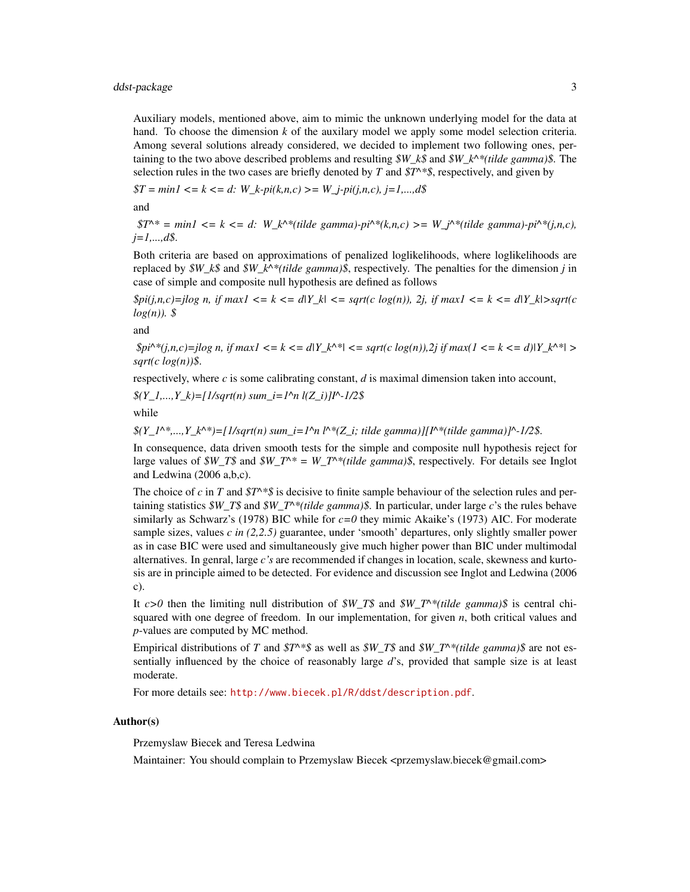## ddst-package 3

Auxiliary models, mentioned above, aim to mimic the unknown underlying model for the data at hand. To choose the dimension *k* of the auxilary model we apply some model selection criteria. Among several solutions already considered, we decided to implement two following ones, pertaining to the two above described problems and resulting *\$W\_k\$* and *\$W\_k^\*(tilde gamma)\$*. The selection rules in the two cases are briefly denoted by *T* and *\$T^\*\$*, respectively, and given by

*\$T = min1 <= k <= d: W\_k-pi(k,n,c) >= W\_j-pi(j,n,c), j=1,...,d\$*

and

 $$T^* = min1 \le k \le d$ : W\_k^\*(tilde gamma)-pi<sup> $\wedge$ \*</sup>(k,n,c) >= W\_j^\*(tilde gamma)-pi $\wedge$ \*(j,n,c), *j=1,...,d\$*.

Both criteria are based on approximations of penalized loglikelihoods, where loglikelihoods are replaced by *\$W\_k\$* and *\$W\_k^\*(tilde gamma)\$*, respectively. The penalties for the dimension *j* in case of simple and composite null hypothesis are defined as follows

 $\text{Spin}(i,n,c)=j\log n$ , if  $\max I \leq k \leq d|Y|$   $k| \leq \text{sqrt}(c \log(n))$ , 2j, if  $\max I \leq k \leq d|Y|$  $k| > \text{sqrt}(c \log(n))$ *log(n)). \$*

and

 $\text{Spin}^*(j,n,c) = j \log n$ , if  $\max I \le k \le d |Y_k \wedge^*| \le s \text{grt}(c \log(n)), 2j \text{ if } \max (1 \le k \le d) |Y_k \wedge^*| \ge s$ *sqrt(c log(n))\$*.

respectively, where  $c$  is some calibrating constant,  $d$  is maximal dimension taken into account,

$$
\frac{\S(Y_{-1},...,Y_{-k}) = [1/sqrt(n) sum_i = 1^n n l(Z_i)]^{N-1/2}\$}
$$

while

 $\mathcal{S}(Y_1^*,..., Y_k^*)$ =[1/sqrt(n) sum\_i=1^n l^\*(Z\_i; tilde gamma)][I^\*(tilde gamma)]^-1/2\$.

In consequence, data driven smooth tests for the simple and composite null hypothesis reject for large values of  $\frac{SW_T}{s}$  and  $\frac{SW_T}{s} = W_T^*(tilde \theta)$  gamma) $\hat{s}$ , respectively. For details see Inglot and Ledwina (2006 a,b,c).

The choice of *c* in *T* and  $T^*$ *s* is decisive to finite sample behaviour of the selection rules and pertaining statistics *\$W\_T\$* and *\$W\_T^\*(tilde gamma)\$*. In particular, under large *c*'s the rules behave similarly as Schwarz's (1978) BIC while for *c=0* they mimic Akaike's (1973) AIC. For moderate sample sizes, values *c in (2,2.5)* guarantee, under 'smooth' departures, only slightly smaller power as in case BIC were used and simultaneously give much higher power than BIC under multimodal alternatives. In genral, large *c's* are recommended if changes in location, scale, skewness and kurtosis are in principle aimed to be detected. For evidence and discussion see Inglot and Ledwina (2006 c).

It  $c>0$  then the limiting null distribution of *\$W\_T\$* and *\$W\_T^\*(tilde gamma)\$* is central chisquared with one degree of freedom. In our implementation, for given *n*, both critical values and *p*-values are computed by MC method.

Empirical distributions of *T* and *\$T^\*\$* as well as *\$W\_T\$* and *\$W\_T^\*(tilde gamma)\$* are not essentially influenced by the choice of reasonably large *d*'s, provided that sample size is at least moderate.

For more details see: <http://www.biecek.pl/R/ddst/description.pdf>.

#### Author(s)

Przemyslaw Biecek and Teresa Ledwina

Maintainer: You should complain to Przemyslaw Biecek <przemyslaw.biecek@gmail.com>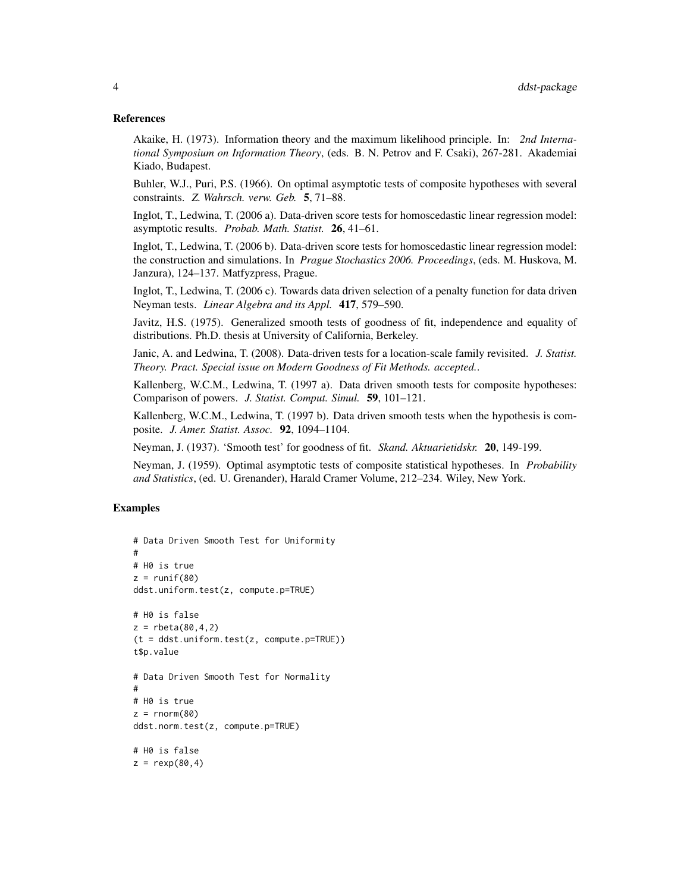#### References

Akaike, H. (1973). Information theory and the maximum likelihood principle. In: *2nd International Symposium on Information Theory*, (eds. B. N. Petrov and F. Csaki), 267-281. Akademiai Kiado, Budapest.

Buhler, W.J., Puri, P.S. (1966). On optimal asymptotic tests of composite hypotheses with several constraints. *Z. Wahrsch. verw. Geb.* 5, 71–88.

Inglot, T., Ledwina, T. (2006 a). Data-driven score tests for homoscedastic linear regression model: asymptotic results. *Probab. Math. Statist.* 26, 41–61.

Inglot, T., Ledwina, T. (2006 b). Data-driven score tests for homoscedastic linear regression model: the construction and simulations. In *Prague Stochastics 2006. Proceedings*, (eds. M. Huskova, M. Janzura), 124–137. Matfyzpress, Prague.

Inglot, T., Ledwina, T. (2006 c). Towards data driven selection of a penalty function for data driven Neyman tests. *Linear Algebra and its Appl.* 417, 579–590.

Javitz, H.S. (1975). Generalized smooth tests of goodness of fit, independence and equality of distributions. Ph.D. thesis at University of California, Berkeley.

Janic, A. and Ledwina, T. (2008). Data-driven tests for a location-scale family revisited. *J. Statist. Theory. Pract. Special issue on Modern Goodness of Fit Methods. accepted.*.

Kallenberg, W.C.M., Ledwina, T. (1997 a). Data driven smooth tests for composite hypotheses: Comparison of powers. *J. Statist. Comput. Simul.* 59, 101–121.

Kallenberg, W.C.M., Ledwina, T. (1997 b). Data driven smooth tests when the hypothesis is composite. *J. Amer. Statist. Assoc.* 92, 1094–1104.

Neyman, J. (1937). 'Smooth test' for goodness of fit. *Skand. Aktuarietidskr.* 20, 149-199.

Neyman, J. (1959). Optimal asymptotic tests of composite statistical hypotheses. In *Probability and Statistics*, (ed. U. Grenander), Harald Cramer Volume, 212–234. Wiley, New York.

```
# Data Driven Smooth Test for Uniformity
#
# H0 is true
z = runif(80)ddst.uniform.test(z, compute.p=TRUE)
# H0 is false
z = rbeta(80,4,2)
(t = ddt.\text{uniform.test}(z, compute.p=TRUE))t$p.value
# Data Driven Smooth Test for Normality
#
# H0 is true
z = rnorm(80)ddst.norm.test(z, compute.p=TRUE)
# H0 is false
z = \text{resp}(80, 4)
```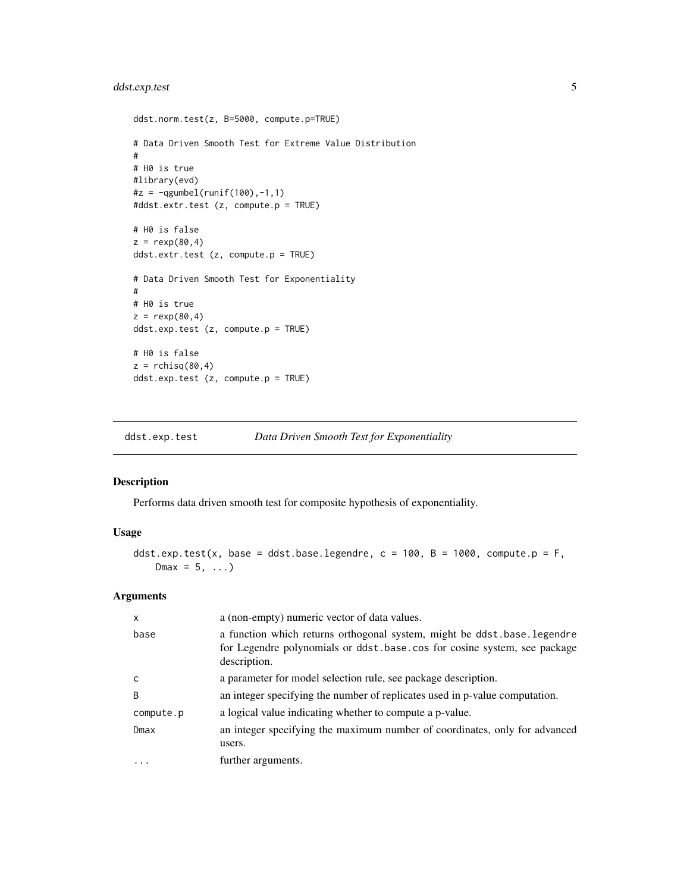## <span id="page-4-0"></span>ddst.exp.test 5

```
ddst.norm.test(z, B=5000, compute.p=TRUE)
# Data Driven Smooth Test for Extreme Value Distribution
#
# H0 is true
#library(evd)
#z = -qgumbel(runif(100),-1,1)
#ddst.extr.test (z, compute.p = TRUE)
# H0 is false
z = \text{resp}(80, 4)ddst.extr.test (z, compute.p = TRUE)
# Data Driven Smooth Test for Exponentiality
#
# H0 is true
z = \text{resp}(80, 4)ddst.exp.test (z, compute.p = TRUE)
# H0 is false
z = rchisq(80,4)
ddst.exp.test (z, compute.p = TRUE)
```
ddst.exp.test *Data Driven Smooth Test for Exponentiality*

## Description

Performs data driven smooth test for composite hypothesis of exponentiality.

## Usage

```
ddst.exp.test(x, base = ddst.base.legendre, c = 100, B = 1000, compute.p = F,
   Dmax = 5, \ldots)
```
## Arguments

| X            | a (non-empty) numeric vector of data values.                                                                                                                        |
|--------------|---------------------------------------------------------------------------------------------------------------------------------------------------------------------|
| base         | a function which returns orthogonal system, might be ddst.base.legendre<br>for Legendre polynomials or ddst.base.cos for cosine system, see package<br>description. |
| $\mathsf{C}$ | a parameter for model selection rule, see package description.                                                                                                      |
| B            | an integer specifying the number of replicates used in p-value computation.                                                                                         |
| compute.p    | a logical value indicating whether to compute a p-value.                                                                                                            |
| Dmax         | an integer specifying the maximum number of coordinates, only for advanced<br>users.                                                                                |
|              | further arguments.                                                                                                                                                  |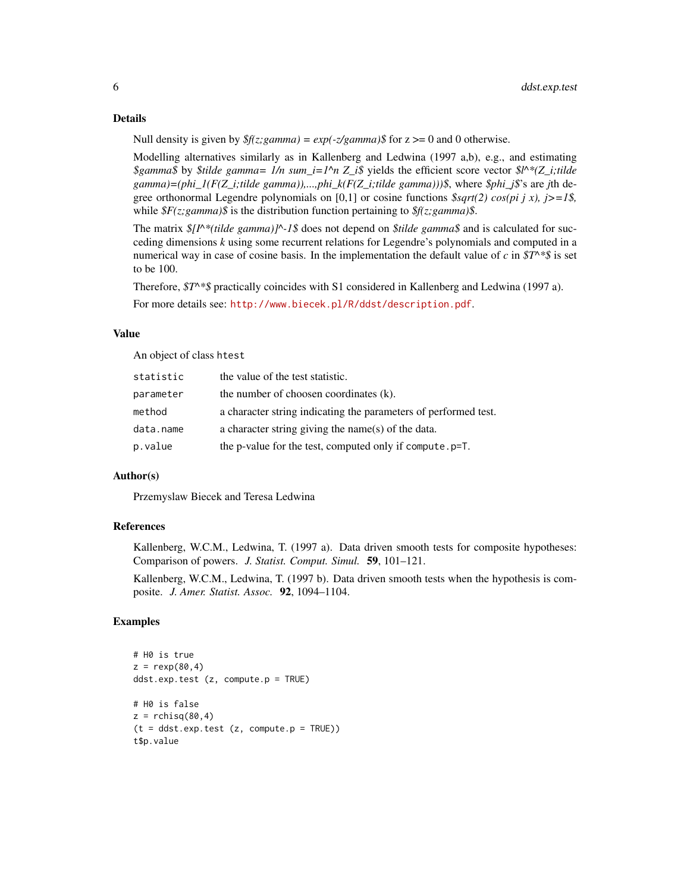#### Details

Null density is given by  $f(z;gamma) = exp(-z/gamma)$  for  $z \ge 0$  and 0 otherwise.

Modelling alternatives similarly as in Kallenberg and Ledwina (1997 a,b), e.g., and estimating *\$gamma\$* by *\$tilde gamma= 1/n sum\_i=1^n Z\_i\$* yields the efficient score vector *\$l^\*(Z\_i;tilde gamma)=(phi\_1(F(Z\_i;tilde gamma)),...,phi\_k(F(Z\_i;tilde gamma)))\$*, where *\$phi\_j\$*'s are *j*th degree orthonormal Legendre polynomials on [0,1] or cosine functions *\$sqrt(2) cos(pi j x), j>=1\$,* while *\$F(z;gamma)\$* is the distribution function pertaining to *\$f(z;gamma)\$*.

The matrix *\$[I^\*(tilde gamma)]^-1\$* does not depend on *\$tilde gamma\$* and is calculated for succeding dimensions *k* using some recurrent relations for Legendre's polynomials and computed in a numerical way in case of cosine basis. In the implementation the default value of *c* in *\$T^\*\$* is set to be 100.

Therefore, *\$T^\*\$* practically coincides with S1 considered in Kallenberg and Ledwina (1997 a).

For more details see: <http://www.biecek.pl/R/ddst/description.pdf>.

## Value

An object of class htest

| statistic | the value of the test statistic.                                |
|-----------|-----------------------------------------------------------------|
| parameter | the number of choosen coordinates (k).                          |
| method    | a character string indicating the parameters of performed test. |
| data.name | a character string giving the name(s) of the data.              |
| p.value   | the p-value for the test, computed only if compute. p=T.        |

## Author(s)

Przemyslaw Biecek and Teresa Ledwina

## References

Kallenberg, W.C.M., Ledwina, T. (1997 a). Data driven smooth tests for composite hypotheses: Comparison of powers. *J. Statist. Comput. Simul.* 59, 101–121.

Kallenberg, W.C.M., Ledwina, T. (1997 b). Data driven smooth tests when the hypothesis is composite. *J. Amer. Statist. Assoc.* 92, 1094–1104.

```
# H0 is true
z = \text{resp}(80, 4)ddst.exp.test (z, compute.p = TRUE)
# H0 is false
z =rchisq(80,4)
(t = ddst.exp.test (z, compute.p = TRUE))t$p.value
```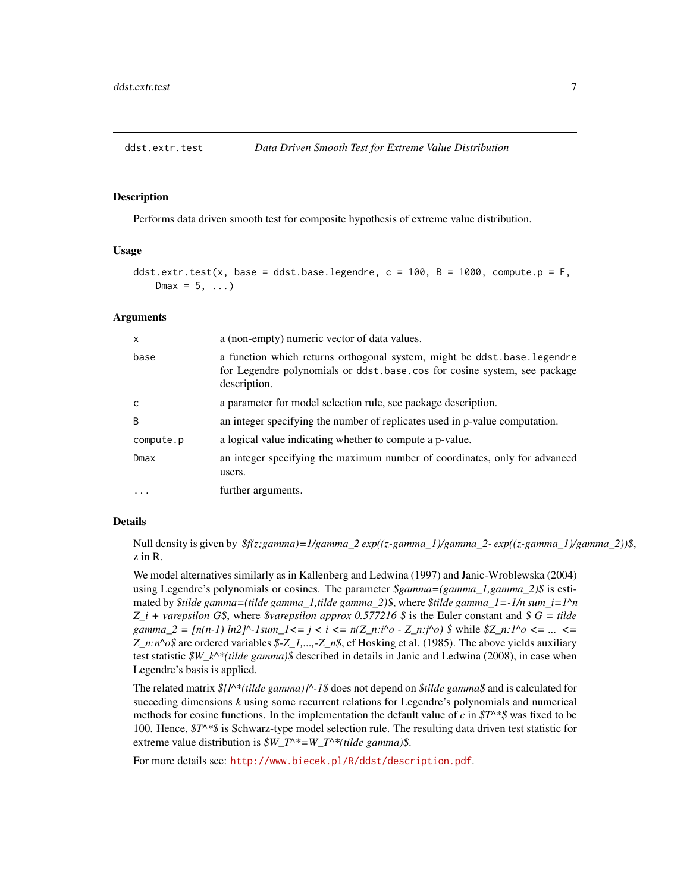<span id="page-6-0"></span>

Performs data driven smooth test for composite hypothesis of extreme value distribution.

#### Usage

```
ddst.extr.test(x, base = ddst.base.legendre, c = 100, B = 1000, compute.p = F,
   Dmax = 5, ...
```
#### Arguments

| X         | a (non-empty) numeric vector of data values.                                                                                                                        |
|-----------|---------------------------------------------------------------------------------------------------------------------------------------------------------------------|
| base      | a function which returns orthogonal system, might be ddst.base.legendre<br>for Legendre polynomials or ddst.base.cos for cosine system, see package<br>description. |
| C         | a parameter for model selection rule, see package description.                                                                                                      |
| B         | an integer specifying the number of replicates used in p-value computation.                                                                                         |
| compute.p | a logical value indicating whether to compute a p-value.                                                                                                            |
| Dmax      | an integer specifying the maximum number of coordinates, only for advanced<br>users.                                                                                |
| $\ddotsc$ | further arguments.                                                                                                                                                  |

## Details

Null density is given by *\$f(z;gamma)=1/gamma\_2 exp((z-gamma\_1)/gamma\_2- exp((z-gamma\_1)/gamma\_2))\$*, z in R.

We model alternatives similarly as in Kallenberg and Ledwina (1997) and Janic-Wroblewska (2004) using Legendre's polynomials or cosines. The parameter *\$gamma=(gamma\_1,gamma\_2)\$* is estimated by *\$tilde gamma=(tilde gamma\_1,tilde gamma\_2)\$*, where *\$tilde gamma\_1=-1/n sum\_i=1^n Z\_i + varepsilon G\$*, where *\$varepsilon approx 0.577216 \$* is the Euler constant and *\$ G = tilde gamma\_2 =*  $[n(n-1) \ln 2]^{\wedge}$ *-1sum\_1<= j < i <=*  $n(Z_n : i^{\wedge}o \cdot Z_n : j^{\wedge}o)$  *\$ while*  $Z_n : i^{\wedge}o \leq ... \leq Z_n$ *Z\_n:n^o\$* are ordered variables *\$-Z\_1,...,-Z\_n\$*, cf Hosking et al. (1985). The above yields auxiliary test statistic *\$W\_k^\*(tilde gamma)\$* described in details in Janic and Ledwina (2008), in case when Legendre's basis is applied.

The related matrix *\$[I^\*(tilde gamma)]^-1\$* does not depend on *\$tilde gamma\$* and is calculated for succeding dimensions *k* using some recurrent relations for Legendre's polynomials and numerical methods for cosine functions. In the implementation the default value of *c* in *\$T^\*\$* was fixed to be 100. Hence, *\$T^\*\$* is Schwarz-type model selection rule. The resulting data driven test statistic for extreme value distribution is *\$W\_T^\*=W\_T^\*(tilde gamma)\$*.

For more details see: <http://www.biecek.pl/R/ddst/description.pdf>.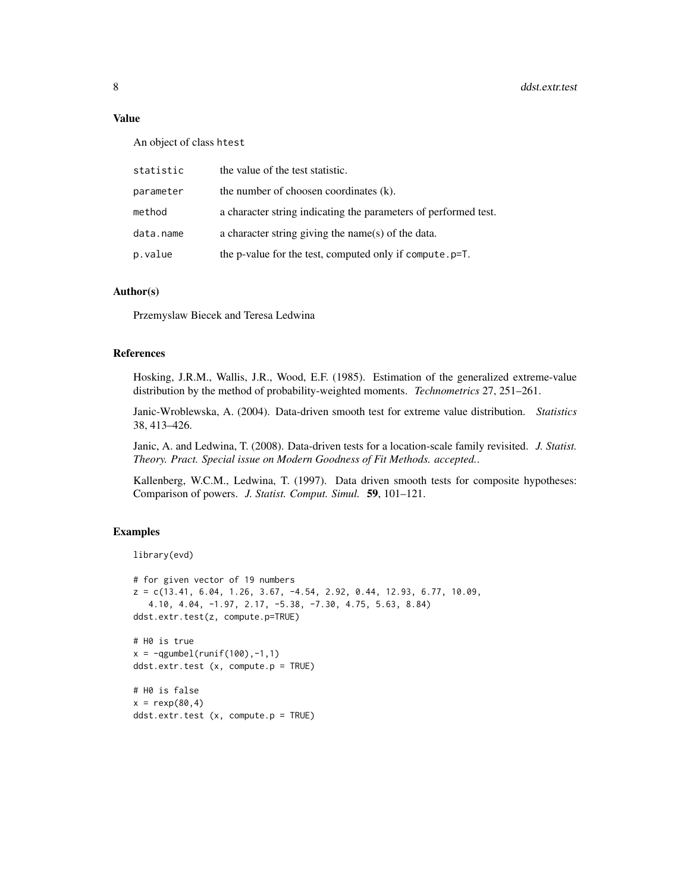## Value

An object of class htest

| statistic | the value of the test statistic.                                |
|-----------|-----------------------------------------------------------------|
| parameter | the number of choosen coordinates (k).                          |
| method    | a character string indicating the parameters of performed test. |
| data.name | a character string giving the name(s) of the data.              |
| p.value   | the p-value for the test, computed only if compute.p=T.         |

## Author(s)

Przemyslaw Biecek and Teresa Ledwina

#### References

Hosking, J.R.M., Wallis, J.R., Wood, E.F. (1985). Estimation of the generalized extreme-value distribution by the method of probability-weighted moments. *Technometrics* 27, 251–261.

Janic-Wroblewska, A. (2004). Data-driven smooth test for extreme value distribution. *Statistics* 38, 413–426.

Janic, A. and Ledwina, T. (2008). Data-driven tests for a location-scale family revisited. *J. Statist. Theory. Pract. Special issue on Modern Goodness of Fit Methods. accepted.*.

Kallenberg, W.C.M., Ledwina, T. (1997). Data driven smooth tests for composite hypotheses: Comparison of powers. *J. Statist. Comput. Simul.* 59, 101–121.

```
library(evd)
```

```
# for given vector of 19 numbers
z = c(13.41, 6.04, 1.26, 3.67, -4.54, 2.92, 0.44, 12.93, 6.77, 10.09,4.10, 4.04, -1.97, 2.17, -5.38, -7.30, 4.75, 5.63, 8.84)
ddst.extr.test(z, compute.p=TRUE)
# H0 is true
x = -qgumbel(runif(100),-1,1)
ddst.extr.test (x, compute.p = TRUE)
# H0 is false
x = \text{resp}(80, 4)ddst.extr.test (x, compute.p = TRUE)
```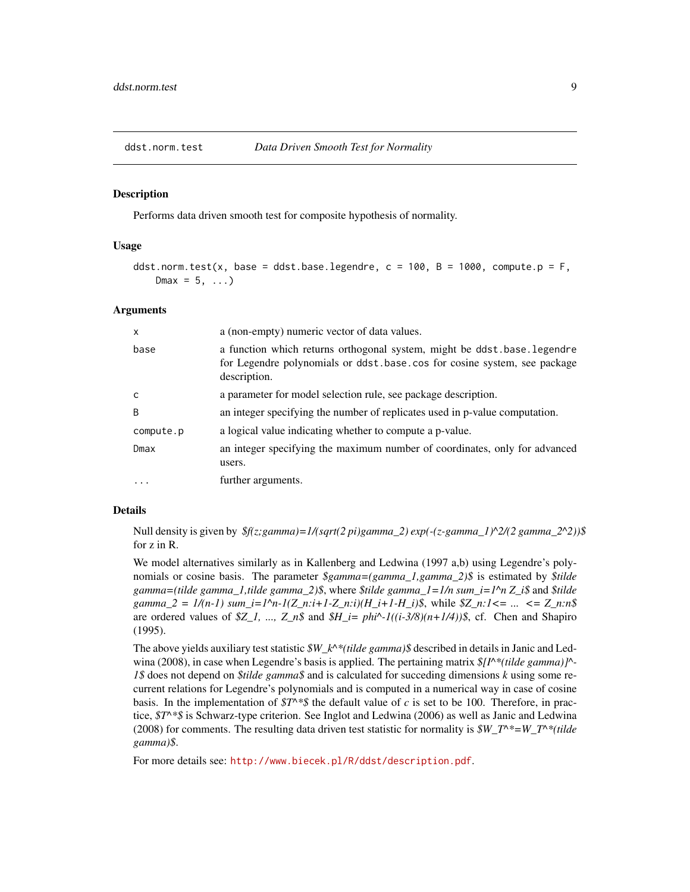<span id="page-8-0"></span>

Performs data driven smooth test for composite hypothesis of normality.

## Usage

```
ddst.norm.test(x, base = ddst.base.legendre, c = 100, B = 1000, compute.p = F,
   Dmax = 5, ...
```
#### Arguments

| X            | a (non-empty) numeric vector of data values.                                                                                                                        |
|--------------|---------------------------------------------------------------------------------------------------------------------------------------------------------------------|
| base         | a function which returns orthogonal system, might be ddst.base.legendre<br>for Legendre polynomials or ddst.base.cos for cosine system, see package<br>description. |
| $\mathsf{C}$ | a parameter for model selection rule, see package description.                                                                                                      |
| B            | an integer specifying the number of replicates used in p-value computation.                                                                                         |
| compute.p    | a logical value indicating whether to compute a p-value.                                                                                                            |
| Dmax         | an integer specifying the maximum number of coordinates, only for advanced<br>users.                                                                                |
| $\cdots$     | further arguments.                                                                                                                                                  |

## Details

Null density is given by *\$f(z;gamma)=1/(sqrt(2 pi)gamma\_2) exp(-(z-gamma\_1)^2/(2 gamma\_2^2))\$* for z in R.

We model alternatives similarly as in Kallenberg and Ledwina (1997 a,b) using Legendre's polynomials or cosine basis. The parameter *\$gamma=(gamma\_1,gamma\_2)\$* is estimated by *\$tilde gamma=(tilde gamma\_1,tilde gamma\_2)\$*, where *\$tilde gamma\_1=1/n sum\_i=1^n Z\_i\$* and *\$tilde gamma\_2 = 1/(n-1) sum\_i=1^n-1(Z\_n:i+1-Z\_n:i)(H\_i+1-H\_i)\$*, while *\$Z\_n:1<= ... <= Z\_n:n\$* are ordered values of *\$Z\_1, ..., Z\_n\$* and *\$H\_i= phi^-1((i-3/8)(n+1/4))\$*, cf. Chen and Shapiro (1995).

The above yields auxiliary test statistic *\$W\_k^\*(tilde gamma)\$* described in details in Janic and Ledwina (2008), in case when Legendre's basis is applied. The pertaining matrix  $\frac{s}{l}N^*(t)$  *tilde gamma*)]<sup>^</sup>-*1\$* does not depend on *\$tilde gamma\$* and is calculated for succeding dimensions *k* using some recurrent relations for Legendre's polynomials and is computed in a numerical way in case of cosine basis. In the implementation of  $ST^*$ \$ the default value of *c* is set to be 100. Therefore, in practice, *\$T^\*\$* is Schwarz-type criterion. See Inglot and Ledwina (2006) as well as Janic and Ledwina (2008) for comments. The resulting data driven test statistic for normality is *\$W\_T^\*=W\_T^\*(tilde gamma)\$*.

For more details see: <http://www.biecek.pl/R/ddst/description.pdf>.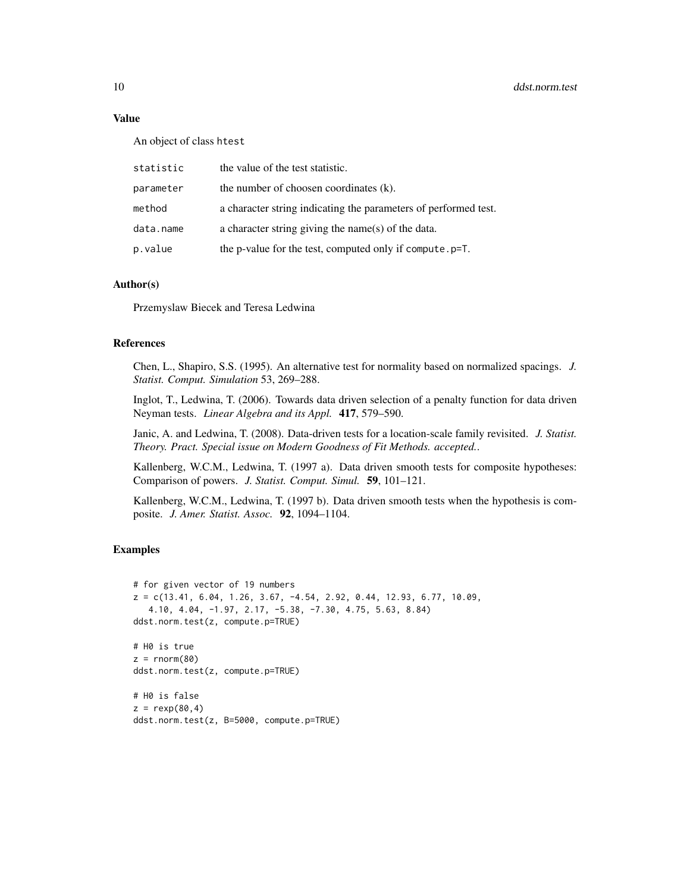## Value

An object of class htest

| statistic | the value of the test statistic.                                |
|-----------|-----------------------------------------------------------------|
| parameter | the number of choosen coordinates (k).                          |
| method    | a character string indicating the parameters of performed test. |
| data.name | a character string giving the name(s) of the data.              |
| p.value   | the p-value for the test, computed only if compute. p=T.        |

## Author(s)

Przemyslaw Biecek and Teresa Ledwina

## References

Chen, L., Shapiro, S.S. (1995). An alternative test for normality based on normalized spacings. *J. Statist. Comput. Simulation* 53, 269–288.

Inglot, T., Ledwina, T. (2006). Towards data driven selection of a penalty function for data driven Neyman tests. *Linear Algebra and its Appl.* 417, 579–590.

Janic, A. and Ledwina, T. (2008). Data-driven tests for a location-scale family revisited. *J. Statist. Theory. Pract. Special issue on Modern Goodness of Fit Methods. accepted.*.

Kallenberg, W.C.M., Ledwina, T. (1997 a). Data driven smooth tests for composite hypotheses: Comparison of powers. *J. Statist. Comput. Simul.* 59, 101–121.

Kallenberg, W.C.M., Ledwina, T. (1997 b). Data driven smooth tests when the hypothesis is composite. *J. Amer. Statist. Assoc.* 92, 1094–1104.

```
# for given vector of 19 numbers
z = c(13.41, 6.04, 1.26, 3.67, -4.54, 2.92, 0.44, 12.93, 6.77, 10.09,4.10, 4.04, -1.97, 2.17, -5.38, -7.30, 4.75, 5.63, 8.84)
ddst.norm.test(z, compute.p=TRUE)
# H0 is true
z = rnorm(80)ddst.norm.test(z, compute.p=TRUE)
# H0 is false
z = \text{resp}(80, 4)ddst.norm.test(z, B=5000, compute.p=TRUE)
```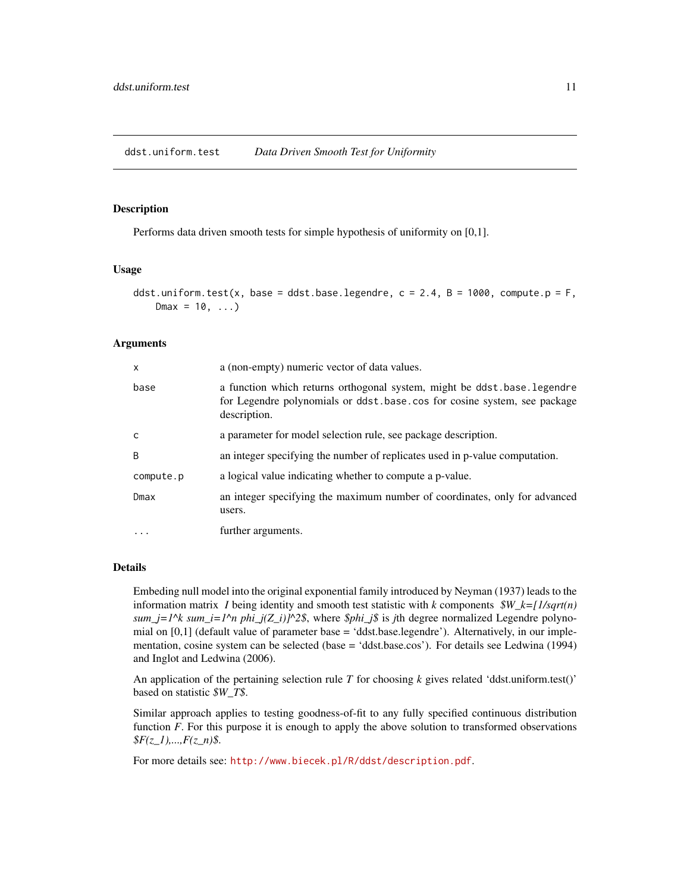<span id="page-10-0"></span>Performs data driven smooth tests for simple hypothesis of uniformity on [0,1].

#### Usage

```
ddst.uniform.test(x, base = ddst.base.legendre, c = 2.4, B = 1000, compute.p = F,
   Dmax = 10, ...
```
### Arguments

| $\mathsf{x}$ | a (non-empty) numeric vector of data values.                                                                                                                        |
|--------------|---------------------------------------------------------------------------------------------------------------------------------------------------------------------|
| base         | a function which returns orthogonal system, might be ddst.base.legendre<br>for Legendre polynomials or ddst.base.cos for cosine system, see package<br>description. |
| C            | a parameter for model selection rule, see package description.                                                                                                      |
| <sub>B</sub> | an integer specifying the number of replicates used in p-value computation.                                                                                         |
| compute.p    | a logical value indicating whether to compute a p-value.                                                                                                            |
| Dmax         | an integer specifying the maximum number of coordinates, only for advanced<br>users.                                                                                |
| $\ddots$ .   | further arguments.                                                                                                                                                  |

## Details

Embeding null model into the original exponential family introduced by Neyman (1937) leads to the information matrix *I* being identity and smooth test statistic with *k* components *\$W\_k=[1/sqrt(n) sum\_j=1^k sum\_i=1^n phi\_j(Z\_i)]^2\$*, where *\$phi\_j\$* is *j*th degree normalized Legendre polynomial on [0,1] (default value of parameter base = 'ddst.base.legendre'). Alternatively, in our implementation, cosine system can be selected (base = 'ddst.base.cos'). For details see Ledwina (1994) and Inglot and Ledwina (2006).

An application of the pertaining selection rule *T* for choosing *k* gives related 'ddst.uniform.test()' based on statistic *\$W\_T\$*.

Similar approach applies to testing goodness-of-fit to any fully specified continuous distribution function *F*. For this purpose it is enough to apply the above solution to transformed observations *\$F(z\_1),...,F(z\_n)\$*.

For more details see: <http://www.biecek.pl/R/ddst/description.pdf>.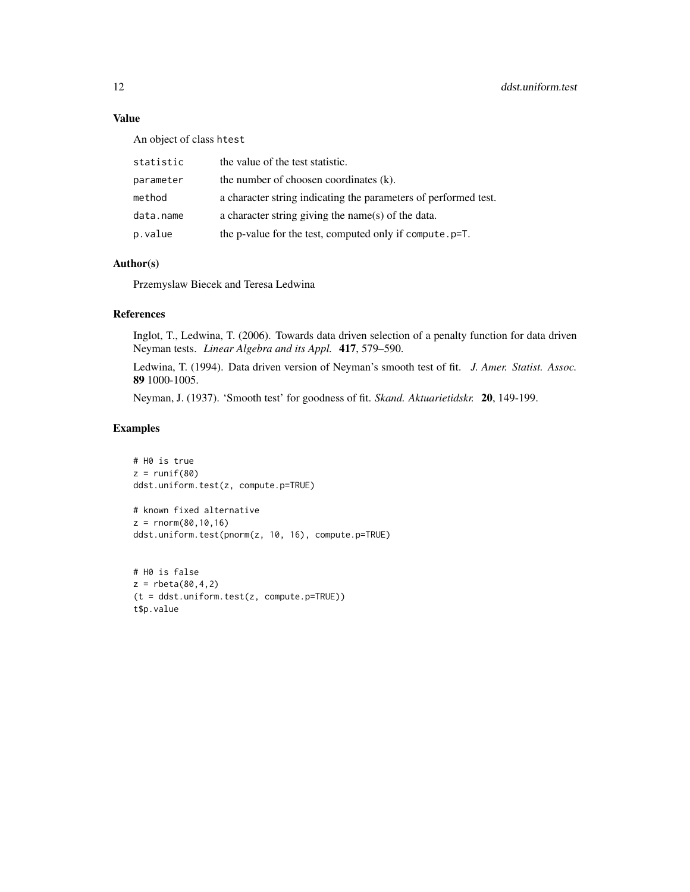## Value

An object of class htest

| statistic | the value of the test statistic.                                |
|-----------|-----------------------------------------------------------------|
| parameter | the number of choosen coordinates (k).                          |
| method    | a character string indicating the parameters of performed test. |
| data.name | a character string giving the name(s) of the data.              |
| p.value   | the p-value for the test, computed only if compute. p=T.        |

## Author(s)

Przemyslaw Biecek and Teresa Ledwina

## References

Inglot, T., Ledwina, T. (2006). Towards data driven selection of a penalty function for data driven Neyman tests. *Linear Algebra and its Appl.* 417, 579–590.

Ledwina, T. (1994). Data driven version of Neyman's smooth test of fit. *J. Amer. Statist. Assoc.* 89 1000-1005.

Neyman, J. (1937). 'Smooth test' for goodness of fit. *Skand. Aktuarietidskr.* 20, 149-199.

```
# H0 is true
z = runif(80)ddst.uniform.test(z, compute.p=TRUE)
```

```
# known fixed alternative
z = rnorm(80, 10, 16)ddst.uniform.test(pnorm(z, 10, 16), compute.p=TRUE)
```

```
# H0 is false
z = rbeta(80,4,2)
(t = ddst.uniform.test(z, compute.p=TRUE))
t$p.value
```